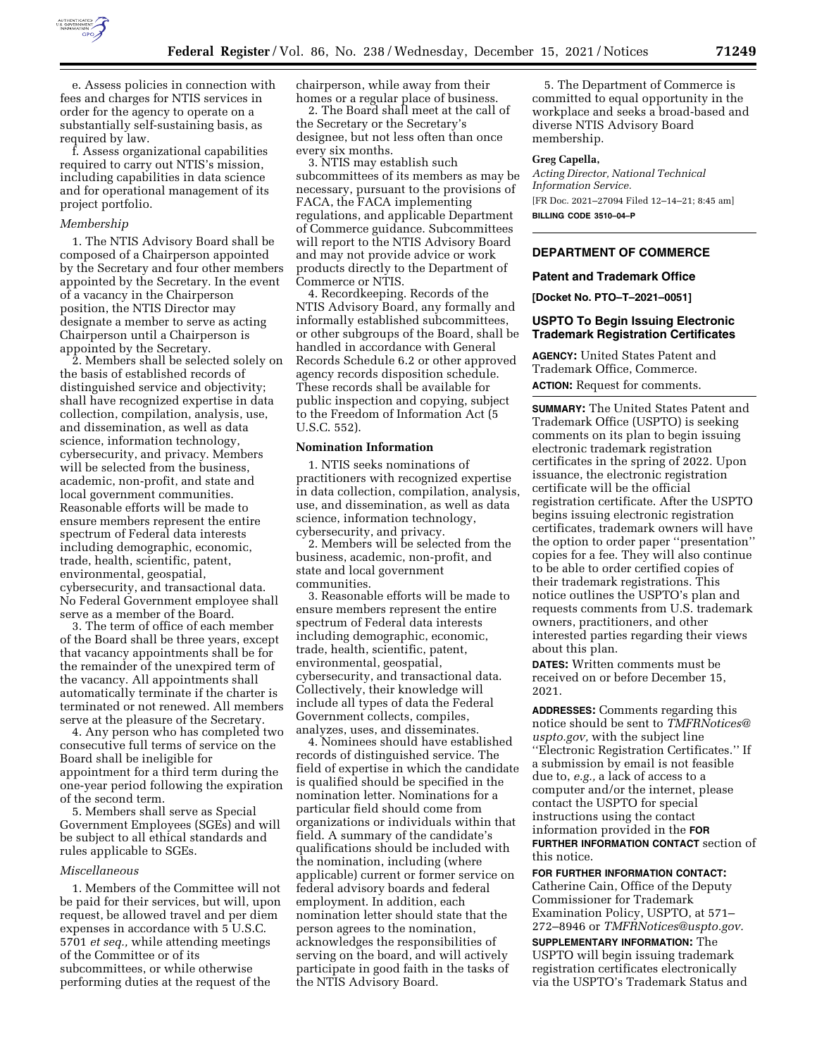

e. Assess policies in connection with fees and charges for NTIS services in order for the agency to operate on a substantially self-sustaining basis, as required by law.

f. Assess organizational capabilities required to carry out NTIS's mission, including capabilities in data science and for operational management of its project portfolio.

#### *Membership*

1. The NTIS Advisory Board shall be composed of a Chairperson appointed by the Secretary and four other members appointed by the Secretary. In the event of a vacancy in the Chairperson position, the NTIS Director may designate a member to serve as acting Chairperson until a Chairperson is appointed by the Secretary.

2. Members shall be selected solely on the basis of established records of distinguished service and objectivity; shall have recognized expertise in data collection, compilation, analysis, use, and dissemination, as well as data science, information technology, cybersecurity, and privacy. Members will be selected from the business, academic, non-profit, and state and local government communities. Reasonable efforts will be made to ensure members represent the entire spectrum of Federal data interests including demographic, economic, trade, health, scientific, patent, environmental, geospatial, cybersecurity, and transactional data. No Federal Government employee shall serve as a member of the Board.

3. The term of office of each member of the Board shall be three years, except that vacancy appointments shall be for the remainder of the unexpired term of the vacancy. All appointments shall automatically terminate if the charter is terminated or not renewed. All members serve at the pleasure of the Secretary.

4. Any person who has completed two consecutive full terms of service on the Board shall be ineligible for appointment for a third term during the one-year period following the expiration of the second term.

5. Members shall serve as Special Government Employees (SGEs) and will be subject to all ethical standards and rules applicable to SGEs.

#### *Miscellaneous*

1. Members of the Committee will not be paid for their services, but will, upon request, be allowed travel and per diem expenses in accordance with 5 U.S.C. 5701 *et seq.,* while attending meetings of the Committee or of its subcommittees, or while otherwise performing duties at the request of the

chairperson, while away from their homes or a regular place of business.

2. The Board shall meet at the call of the Secretary or the Secretary's designee, but not less often than once every six months.

3. NTIS may establish such subcommittees of its members as may be necessary, pursuant to the provisions of FACA, the FACA implementing regulations, and applicable Department of Commerce guidance. Subcommittees will report to the NTIS Advisory Board and may not provide advice or work products directly to the Department of Commerce or NTIS.

4. Recordkeeping. Records of the NTIS Advisory Board, any formally and informally established subcommittees, or other subgroups of the Board, shall be handled in accordance with General Records Schedule 6.2 or other approved agency records disposition schedule. These records shall be available for public inspection and copying, subject to the Freedom of Information Act (5 U.S.C. 552).

### **Nomination Information**

1. NTIS seeks nominations of practitioners with recognized expertise in data collection, compilation, analysis, use, and dissemination, as well as data science, information technology, cybersecurity, and privacy.

2. Members will be selected from the business, academic, non-profit, and state and local government communities.

3. Reasonable efforts will be made to ensure members represent the entire spectrum of Federal data interests including demographic, economic, trade, health, scientific, patent, environmental, geospatial, cybersecurity, and transactional data. Collectively, their knowledge will include all types of data the Federal Government collects, compiles, analyzes, uses, and disseminates.

4. Nominees should have established records of distinguished service. The field of expertise in which the candidate is qualified should be specified in the nomination letter. Nominations for a particular field should come from organizations or individuals within that field. A summary of the candidate's qualifications should be included with the nomination, including (where applicable) current or former service on federal advisory boards and federal employment. In addition, each nomination letter should state that the person agrees to the nomination, acknowledges the responsibilities of serving on the board, and will actively participate in good faith in the tasks of the NTIS Advisory Board.

5. The Department of Commerce is committed to equal opportunity in the workplace and seeks a broad-based and diverse NTIS Advisory Board membership.

#### **Greg Capella,**

*Acting Director, National Technical Information Service.*  [FR Doc. 2021–27094 Filed 12–14–21; 8:45 am] **BILLING CODE 3510–04–P** 

### **DEPARTMENT OF COMMERCE**

#### **Patent and Trademark Office**

**[Docket No. PTO–T–2021–0051]** 

### **USPTO To Begin Issuing Electronic Trademark Registration Certificates**

**AGENCY:** United States Patent and Trademark Office, Commerce. **ACTION:** Request for comments.

**SUMMARY:** The United States Patent and Trademark Office (USPTO) is seeking comments on its plan to begin issuing electronic trademark registration certificates in the spring of 2022. Upon issuance, the electronic registration certificate will be the official registration certificate. After the USPTO begins issuing electronic registration certificates, trademark owners will have the option to order paper ''presentation'' copies for a fee. They will also continue to be able to order certified copies of their trademark registrations. This notice outlines the USPTO's plan and requests comments from U.S. trademark owners, practitioners, and other interested parties regarding their views about this plan.

**DATES:** Written comments must be received on or before December 15, 2021.

**ADDRESSES:** Comments regarding this notice should be sent to *[TMFRNotices@](mailto:TMFRNotices@uspto.gov) [uspto.gov,](mailto:TMFRNotices@uspto.gov)* with the subject line ''Electronic Registration Certificates.'' If a submission by email is not feasible due to, *e.g.,* a lack of access to a computer and/or the internet, please contact the USPTO for special instructions using the contact information provided in the **FOR FURTHER INFORMATION CONTACT** section of this notice.

**FOR FURTHER INFORMATION CONTACT:**  Catherine Cain, Office of the Deputy Commissioner for Trademark Examination Policy, USPTO, at 571– 272–8946 or *[TMFRNotices@uspto.gov.](mailto:TMFRNotices@uspto.gov)* 

**SUPPLEMENTARY INFORMATION:** The USPTO will begin issuing trademark registration certificates electronically via the USPTO's Trademark Status and